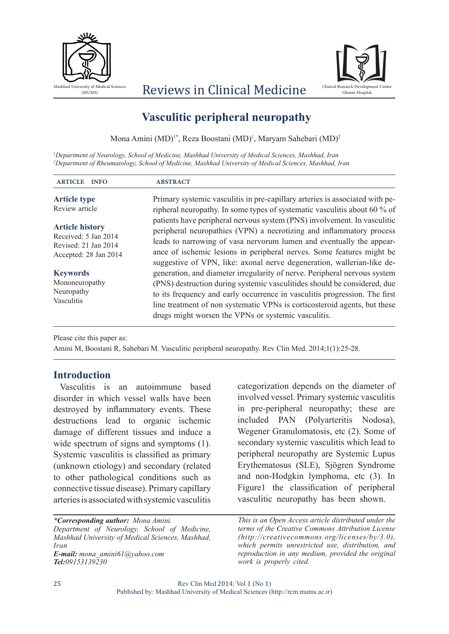

## Reviews in Clinical Medicine



# **Vasculitic peripheral neuropathy**

Mona Amini (MD)<sup>1\*</sup>, Reza Boostani (MD)<sup>1</sup>, Maryam Sahebari (MD)<sup>2</sup>

*1 Department of Neurology, School of Medicine, Mashhad University of Medical Sciences, Mashhad, Iran 2 Department of Rheumatology, School of Medicine, Mashhad University of Medical Sciences, Mashhad, Iran*

| <b>ABSTRACT</b>                                                                                                                                                                                                                                                                                                                                                             |
|-----------------------------------------------------------------------------------------------------------------------------------------------------------------------------------------------------------------------------------------------------------------------------------------------------------------------------------------------------------------------------|
| Primary systemic vasculitis in pre-capillary arteries is associated with pe-<br>ripheral neuropathy. In some types of systematic vasculitis about 60 % of                                                                                                                                                                                                                   |
| patients have peripheral nervous system (PNS) involvement. In vasculitic<br>peripheral neuropathies (VPN) a necrotizing and inflammatory process<br>leads to narrowing of vasa nervorum lumen and eventually the appear-<br>ance of ischemic lesions in peripheral nerves. Some features might be<br>suggestive of VPN, like: axonal nerve degeneration, wallerian-like de- |
| generation, and diameter irregularity of nerve. Peripheral nervous system<br>(PNS) destruction during systemic vasculitides should be considered, due<br>to its frequency and early occurrence in vasculitis progression. The first<br>line treatment of non systematic VPNs is corticosteroid agents, but these<br>drugs might worsen the VPNs or systemic vasculitis.     |
|                                                                                                                                                                                                                                                                                                                                                                             |

Please cite this paper as:

Amini M, Boostani R, Sahebari M. Vasculitic peripheral neuropathy. Rev Clin Med. 2014;1(1):25-28.

#### **Introduction**

Vasculitis is an autoimmune based disorder in which vessel walls have been destroyed by inflammatory events. These destructions lead to organic ischemic damage of different tissues and induce a wide spectrum of signs and symptoms (1). Systemic vasculitis is classified as primary (unknown etiology) and secondary (related to other pathological conditions such as connective tissue disease). Primary capillary arteries is associated with systemic vasculitis

*\*Corresponding author: Mona Amini. Department of Neurology, School of Medicine, Mashhad University of Medical Sciences, Mashhad, Iran E-mail: mona\_amini61@yahoo.com Tel:09153139230*

categorization depends on the diameter of involved vessel. Primary systemic vasculitis in pre-peripheral neuropathy; these are included PAN (Polyarteritis Nodosa), Wegener Granulomatosis, etc (2). Some of secondary systemic vasculitis which lead to peripheral neuropathy are Systemic Lupus Erythematosus (SLE), Sjögren Syndrome and non-Hodgkin lymphoma, etc (3). In Figure1 the classification of peripheral vasculitic neuropathy has been shown.

*This is an Open Access article distributed under the terms of the Creative Commons Attribution License (http://creativecommons.org/licenses/by/3.0), which permits unrestricted use, distribution, and reproduction in any medium, provided the original work is properly cited.*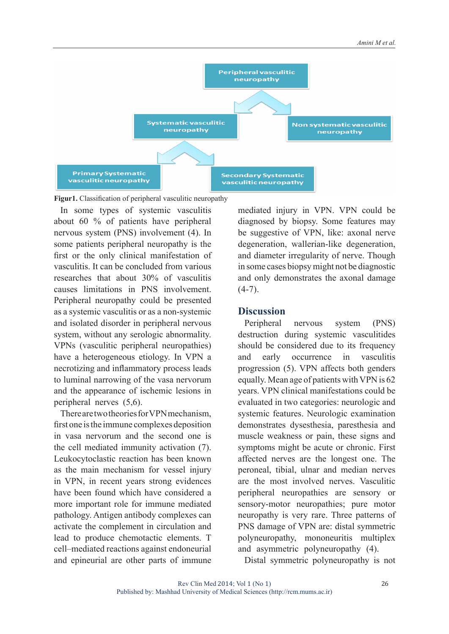

**Figur1.** Classification of peripheral vasculitic neuropathy

In some types of systemic vasculitis about 60 % of patients have peripheral nervous system (PNS) involvement (4). In some patients peripheral neuropathy is the first or the only clinical manifestation of vasculitis. It can be concluded from various researches that about 30% of vasculitis causes limitations in PNS involvement. Peripheral neuropathy could be presented as a systemic vasculitis or as a non-systemic and isolated disorder in peripheral nervous system, without any serologic abnormality. VPNs (vasculitic peripheral neuropathies) have a heterogeneous etiology. In VPN a necrotizing and inflammatory process leads to luminal narrowing of the vasa nervorum and the appearance of ischemic lesions in peripheral nerves (5,6).

There are two theories for VPN mechanism, first one is the immune complexes deposition in vasa nervorum and the second one is the cell mediated immunity activation (7). Leukocytoclastic reaction has been known as the main mechanism for vessel injury in VPN, in recent years strong evidences have been found which have considered a more important role for immune mediated pathology. Antigen antibody complexes can activate the complement in circulation and lead to produce chemotactic elements. T cell–mediated reactions against endoneurial and epineurial are other parts of immune mediated injury in VPN. VPN could be diagnosed by biopsy. Some features may be suggestive of VPN, like: axonal nerve degeneration, wallerian-like degeneration, and diameter irregularity of nerve. Though in some cases biopsy might not be diagnostic and only demonstrates the axonal damage  $(4-7)$ .

#### **Discussion**

Peripheral nervous system (PNS) destruction during systemic vasculitides should be considered due to its frequency and early occurrence in vasculitis progression (5). VPN affects both genders equally. Mean age of patients with VPN is 62 years. VPN clinical manifestations could be evaluated in two categories: neurologic and systemic features. Neurologic examination demonstrates dysesthesia, paresthesia and muscle weakness or pain, these signs and symptoms might be acute or chronic. First affected nerves are the longest one. The peroneal, tibial, ulnar and median nerves are the most involved nerves. Vasculitic peripheral neuropathies are sensory or sensory-motor neuropathies; pure motor neuropathy is very rare. Three patterns of PNS damage of VPN are: distal symmetric polyneuropathy, mononeuritis multiplex and asymmetric polyneuropathy (4).

Distal symmetric polyneuropathy is not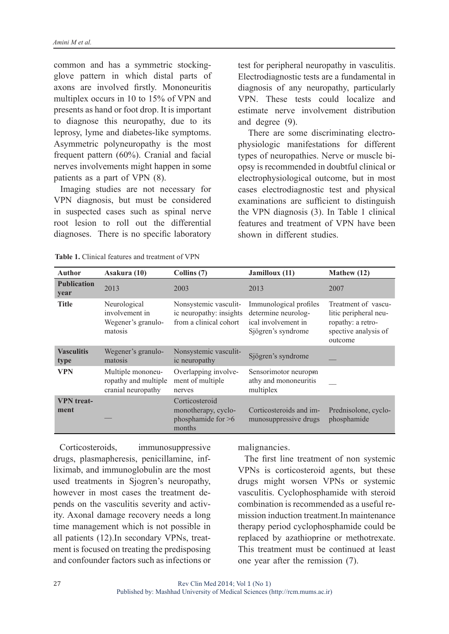common and has a symmetric stockingglove pattern in which distal parts of axons are involved firstly. Mononeuritis multiplex occurs in 10 to 15% of VPN and presents as hand or foot drop. It is important to diagnose this neuropathy, due to its leprosy, lyme and diabetes-like symptoms. Asymmetric polyneuropathy is the most frequent pattern (60%). Cranial and facial nerves involvements might happen in some patients as a part of VPN (8).

Imaging studies are not necessary for VPN diagnosis, but must be considered in suspected cases such as spinal nerve root lesion to roll out the differential diagnoses. There is no specific laboratory test for peripheral neuropathy in vasculitis. Electrodiagnostic tests are a fundamental in diagnosis of any neuropathy, particularly VPN. These tests could localize and estimate nerve involvement distribution and degree (9).

 There are some discriminating electrophysiologic manifestations for different types of neuropathies. Nerve or muscle biopsy is recommended in doubtful clinical or electrophysiological outcome, but in most cases electrodiagnostic test and physical examinations are sufficient to distinguish the VPN diagnosis (3). In Table 1 clinical features and treatment of VPN have been shown in different studies.

| <b>Author</b>              | Asakura (10)                                                    | Collins (7)                                                                | Jamilloux (11)                                                                             | Mathew (12)                                                                                          |
|----------------------------|-----------------------------------------------------------------|----------------------------------------------------------------------------|--------------------------------------------------------------------------------------------|------------------------------------------------------------------------------------------------------|
| <b>Publication</b><br>year | 2013                                                            | 2003                                                                       | 2013                                                                                       | 2007                                                                                                 |
| <b>Title</b>               | Neurological<br>involvement in<br>Wegener's granulo-<br>matosis | Nonsystemic vasculit-<br>ic neuropathy: insights<br>from a clinical cohort | Immunological profiles<br>determine neurolog-<br>ical involvement in<br>Sjögren's syndrome | Treatment of vascu-<br>litic peripheral neu-<br>ropathy: a retro-<br>spective analysis of<br>outcome |
| <b>Vasculitis</b><br>type  | Wegener's granulo-<br>matosis                                   | Nonsystemic vasculit-<br>ic neuropathy                                     | Sjögren's syndrome                                                                         |                                                                                                      |
| VPN                        | Multiple mononeu-<br>ropathy and multiple<br>cranial neuropathy | Overlapping involve-<br>ment of multiple<br>nerves                         | Sensorimotor neuropm<br>athy and mononeuritis<br>multiplex                                 |                                                                                                      |
| <b>VPN</b> treat-<br>ment  |                                                                 | Corticosteroid<br>monotherapy, cyclo-<br>phosphamide for $>6$<br>months    | Corticosteroids and im-<br>munosuppressive drugs                                           | Prednisolone, cyclo-<br>phosphamide                                                                  |

**Table 1.** Clinical features and treatment of VPN

Corticosteroids, immunosuppressive drugs, plasmapheresis, penicillamine, infliximab, and immunoglobulin are the most used treatments in Sjogren's neuropathy, however in most cases the treatment depends on the vasculitis severity and activity. Axonal damage recovery needs a long time management which is not possible in all patients (12).In secondary VPNs, treatment is focused on treating the predisposing and confounder factors such as infections or

malignancies.

The first line treatment of non systemic VPNs is corticosteroid agents, but these drugs might worsen VPNs or systemic vasculitis. Cyclophosphamide with steroid combination is recommended as a useful remission induction treatment.In maintenance therapy period cyclophosphamide could be replaced by azathioprine or methotrexate. This treatment must be continued at least one year after the remission (7).